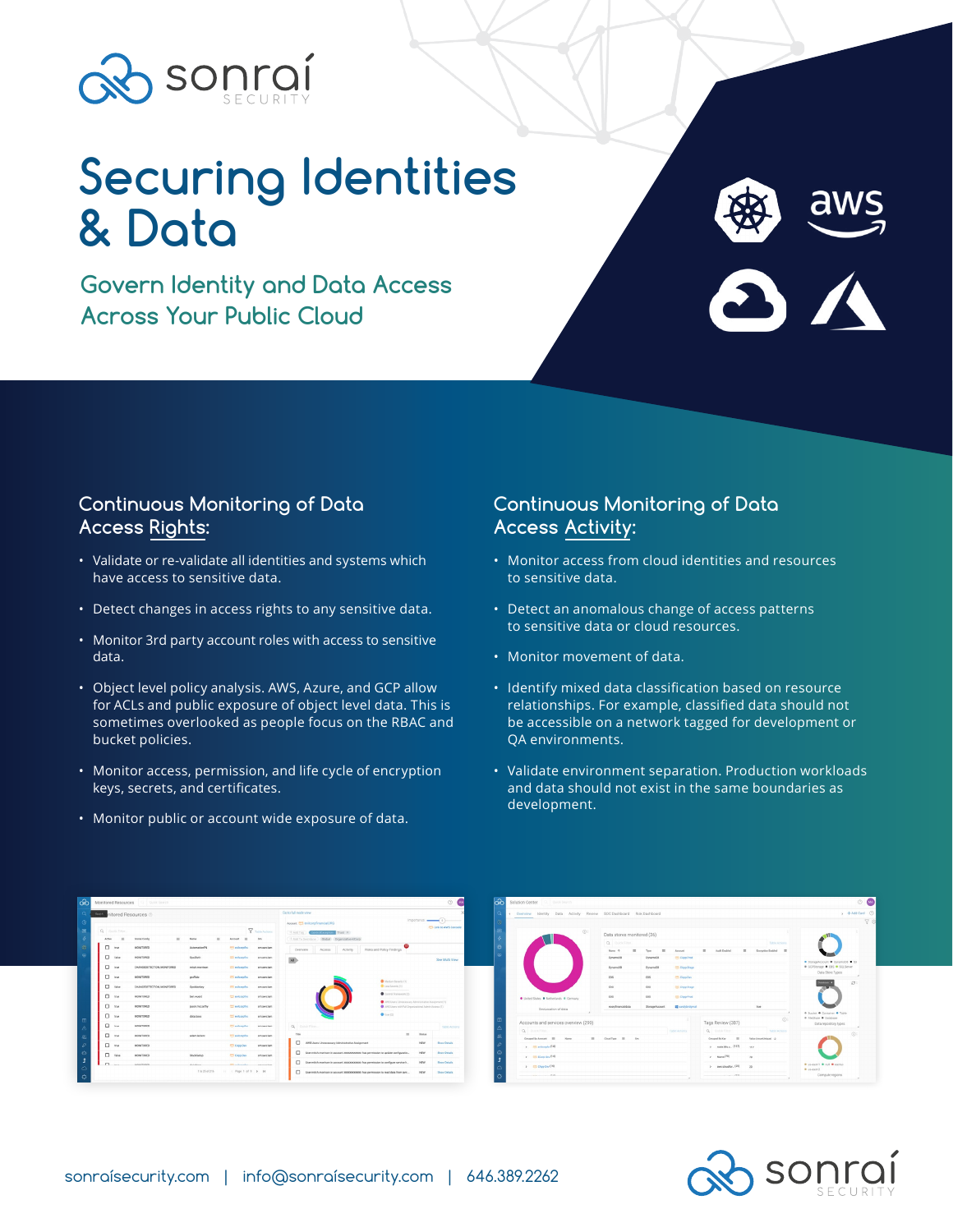

# **Securing Identities & Data**

**Govern Identity and Data Access Across Your Public Cloud**



## **Continuous Monitoring of Data Access Rights:**

- Validate or re-validate all identities and systems which have access to sensitive data.
- Detect changes in access rights to any sensitive data.
- Monitor 3rd party account roles with access to sensitive data.
- Object level policy analysis. AWS, Azure, and GCP allow for ACLs and public exposure of object level data. This is sometimes overlooked as people focus on the RBAC and bucket policies.
- Monitor access, permission, and life cycle of encryption keys, secrets, and certificates.
- Monitor public or account wide exposure of data.

## **Continuous Monitoring of Data Access Activity:**

- Monitor access from cloud identities and resources to sensitive data.
- Detect an anomalous change of access patterns to sensitive data or cloud resources.
- Monitor movement of data.
- Identify mixed data classification based on resource relationships. For example, classified data should not be accessible on a network tagged for development or QA environments.
- Validate environment separation. Production workloads and data should not exist in the same boundaries as development.

|        | Costo full render view.<br><b>Companitored Resources</b> |                                                                  |                     |                         |                               |                                                                                                           |                                                                                                                                         |                               | . Overview Identity Data Activity Review SOC Dashboard Risk Dashboard |                                                                |                                           |                  |                           |                                                        | $+$ Add Card $(2)$        |                                                         |
|--------|----------------------------------------------------------|------------------------------------------------------------------|---------------------|-------------------------|-------------------------------|-----------------------------------------------------------------------------------------------------------|-----------------------------------------------------------------------------------------------------------------------------------------|-------------------------------|-----------------------------------------------------------------------|----------------------------------------------------------------|-------------------------------------------|------------------|---------------------------|--------------------------------------------------------|---------------------------|---------------------------------------------------------|
|        |                                                          |                                                                  |                     |                         |                               | Access #1 evicorpfinancialORG                                                                             | importance (5)-                                                                                                                         | <b>PS Link to AMS Console</b> |                                                                       |                                                                |                                           |                  |                           |                                                        |                           |                                                         |
|        | Q Quest Filter.                                          | <b>Y</b> tate total<br>Account III Sm<br>Sonrai Conño<br>Abutter |                     |                         | (+Adding) Demonstrated that X |                                                                                                           |                                                                                                                                         |                               | Data stores monitored (36)                                            |                                                                |                                           |                  |                           |                                                        |                           |                                                         |
| Active |                                                          |                                                                  |                     |                         |                               | (+Add To Swimlane ) (Global) (Organization-ECorp)                                                         |                                                                                                                                         |                               |                                                                       |                                                                | Q DISTING                                 |                  |                           | Table Actions                                          |                           |                                                         |
| $\Box$ | Tue.                                                     | MONITORED                                                        | AutomationFN        | "I evicorple:           | art peaker.                   | Overview Access Activity Risks and Policy Findings                                                        |                                                                                                                                         |                               |                                                                       |                                                                | Name 4<br>Tune<br>$\mathbb{R}$<br>Account |                  |                           | Audit English<br>Encouption Enabled III<br>$\equiv$    |                           |                                                         |
|        | false                                                    | MONITORED                                                        | OpsSloth            | colorate amassian       |                               | $\overline{\mathbf{M}}$                                                                                   |                                                                                                                                         | See Multi View                |                                                                       |                                                                | DynamoDB                                  | DynameDB         | <b>CApp Pred</b>          |                                                        |                           | $\bullet$ StrapsAccount $\bullet$ DynamoDR $\bullet$ S3 |
| $\Box$ | <b>State</b>                                             | CHANGEDETECTION, MONITORED                                       | million reportinges | Clerkorphy sexension    |                               |                                                                                                           |                                                                                                                                         |                               |                                                                       |                                                                | DynameDB                                  | <b>Dynamic08</b> | <b>CApp Stage</b>         |                                                        |                           | · GOPStorage · EBS · SQLServer<br>Data Store Types      |
| $\Box$ | <b>State</b>                                             | MONTONED                                                         | pullake             | 272 evidentsfec         | sen awaitam                   |                                                                                                           | Ahedum Severity (1)                                                                                                                     |                               |                                                                       |                                                                | 185                                       | cas.             | <b>PS CApp Dev</b>        |                                                        |                           |                                                         |
| ▫      | false                                                    | CHANGEDETECTION, MONITORED                                       | Confidential        | CTI evidentifies        | AFT JUNE 24TH                 |                                                                                                           | G Los Germits (1)<br>_________                                                                                                          |                               |                                                                       |                                                                | ERS                                       | cas              | <b>COLOMBIA</b>           |                                                        |                           |                                                         |
|        | $\Box$ the                                               | <b>MONDORFO</b>                                                  | ben woest           | to exterptive           | priceves lam                  |                                                                                                           | Control Financiation (2)<br>ANS Users, Unnecessary Administrative Assignment (1)<br>CANS Users with Full Drawingstonal Admin Access (1) |                               |                                                                       | · United States · Netherlands · Germany<br>GeoLocation of data | EBS:                                      | cas              | <b>CAppProd</b>           |                                                        |                           |                                                         |
| $\Box$ | <b>Wee</b>                                               | MONTONED                                                         | lason morarthy      | <b>Information</b> (15) | AFTY JUNIS CATS               |                                                                                                           |                                                                                                                                         |                               |                                                                       |                                                                | ecorphnancialdata                         | SterageAccount   | <b>III</b> sendsteingmall |                                                        | the                       |                                                         |
| $\Box$ | <b>Stude</b>                                             | MONTORED                                                         | data boss           | and and articles        | encession.                    | O User (2)                                                                                                |                                                                                                                                         |                               |                                                                       |                                                                |                                           |                  | Tags Review (387)         | . . Bucket . Container . Table<br>* Fielbay * Database |                           |                                                         |
| o      | true                                                     | MONITORED                                                        |                     | entrangier arconoism    |                               | Q DUCK FINK                                                                                               |                                                                                                                                         |                               |                                                                       | Accounts and services overview (290)                           |                                           |                  |                           |                                                        |                           | Data repository types                                   |
| $\Box$ | <b>Stude</b>                                             | MONITORFO                                                        | adam lectors        | <b>PPS</b> extensive    | Any paid lare                 |                                                                                                           | <b>ST State</b>                                                                                                                         |                               |                                                                       | Q DISK Filter                                                  |                                           |                  | Table Actions             | Q DiskFilm                                             | Table Actions             |                                                         |
|        |                                                          |                                                                  |                     |                         |                               | AWS Users: Unnecessary Administrative Assignment<br>NEW.                                                  |                                                                                                                                         | Show Details                  |                                                                       | III Cloud Type III Sm<br>Ground By Annualt 198 . Name          |                                           |                  |                           | . .<br><b>Crouped By Kay</b>                           | Talue (emant brings) . L. |                                                         |
| $\Box$ | <b>The</b>                                               | MONTONED                                                         |                     | PT CANAday MY BASIN'    |                               |                                                                                                           |                                                                                                                                         |                               |                                                                       | > memoryta (14)                                                |                                           |                  |                           | > nodeAlba.a. (717) 117                                |                           |                                                         |
| $\Box$ | false                                                    | selection(i)                                                     | Stackfortup         |                         | CALCORY MYBRESON              | Decretish member in account XXXXXXXXXXXXX has permission to update configuratio.                          | NEW                                                                                                                                     | <b>Diow Details</b>           |                                                                       | $\rightarrow$ $\equiv$ (Corp Sec (14)                          |                                           |                  |                           | > Name <sup>(70)</sup>                                 | $20 -$                    |                                                         |
|        |                                                          | <b>CLASS AND ARRANGEMENT</b>                                     | Autobiogram         |                         |                               | Department to have the contract and accompany of the association to configure service h.                  | NEW                                                                                                                                     | <b>Show Details</b>           |                                                                       | > ESCAPPING                                                    |                                           |                  |                           | a precisation (20) 20                                  |                           | · useast-1 · mul · eastus<br>· creased                  |
|        |                                                          |                                                                  | 1 to 25 of 216      | IL : Page 1 of 9 3 34   |                               | T : Unermitch morrison in account 1000000000000 has permission to read data from lam; NEW<br>Show Details |                                                                                                                                         |                               |                                                                       | the state of the control of the                                |                                           |                  |                           |                                                        |                           | Compute regions                                         |